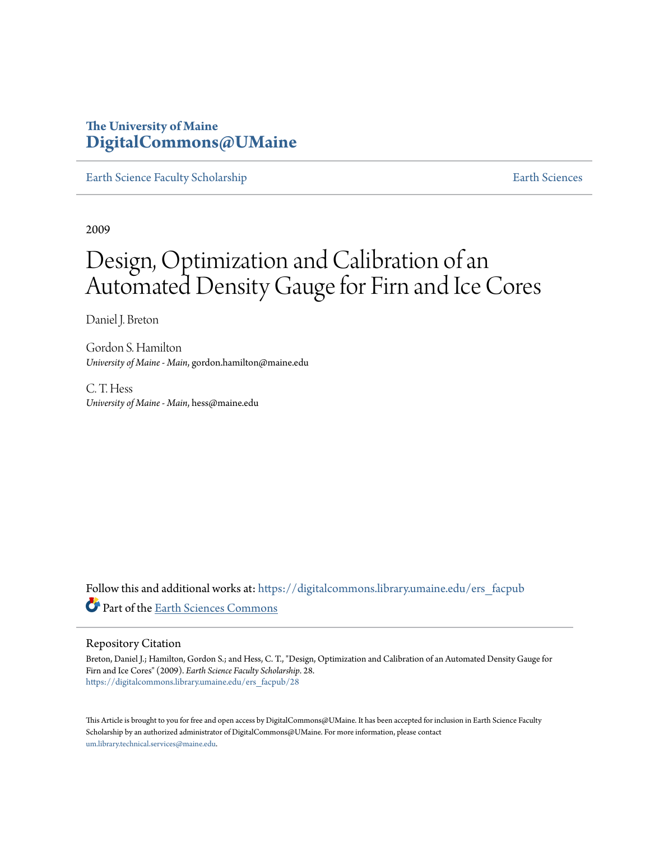# **The University of Maine [DigitalCommons@UMaine](https://digitalcommons.library.umaine.edu?utm_source=digitalcommons.library.umaine.edu%2Fers_facpub%2F28&utm_medium=PDF&utm_campaign=PDFCoverPages)**

[Earth Science Faculty Scholarship](https://digitalcommons.library.umaine.edu/ers_facpub?utm_source=digitalcommons.library.umaine.edu%2Fers_facpub%2F28&utm_medium=PDF&utm_campaign=PDFCoverPages) **[Earth Sciences](https://digitalcommons.library.umaine.edu/ers?utm_source=digitalcommons.library.umaine.edu%2Fers_facpub%2F28&utm_medium=PDF&utm_campaign=PDFCoverPages)** 

2009

# Design, Optimization and Calibration of an Automated Density Gauge for Firn and Ice Cores

Daniel J. Breton

Gordon S. Hamilton *University of Maine - Main*, gordon.hamilton@maine.edu

C. T. Hess *University of Maine - Main*, hess@maine.edu

Follow this and additional works at: [https://digitalcommons.library.umaine.edu/ers\\_facpub](https://digitalcommons.library.umaine.edu/ers_facpub?utm_source=digitalcommons.library.umaine.edu%2Fers_facpub%2F28&utm_medium=PDF&utm_campaign=PDFCoverPages) Part of the [Earth Sciences Commons](http://network.bepress.com/hgg/discipline/153?utm_source=digitalcommons.library.umaine.edu%2Fers_facpub%2F28&utm_medium=PDF&utm_campaign=PDFCoverPages)

#### Repository Citation

Breton, Daniel J.; Hamilton, Gordon S.; and Hess, C. T., "Design, Optimization and Calibration of an Automated Density Gauge for Firn and Ice Cores" (2009). *Earth Science Faculty Scholarship*. 28. [https://digitalcommons.library.umaine.edu/ers\\_facpub/28](https://digitalcommons.library.umaine.edu/ers_facpub/28?utm_source=digitalcommons.library.umaine.edu%2Fers_facpub%2F28&utm_medium=PDF&utm_campaign=PDFCoverPages)

This Article is brought to you for free and open access by DigitalCommons@UMaine. It has been accepted for inclusion in Earth Science Faculty Scholarship by an authorized administrator of DigitalCommons@UMaine. For more information, please contact [um.library.technical.services@maine.edu](mailto:um.library.technical.services@maine.edu).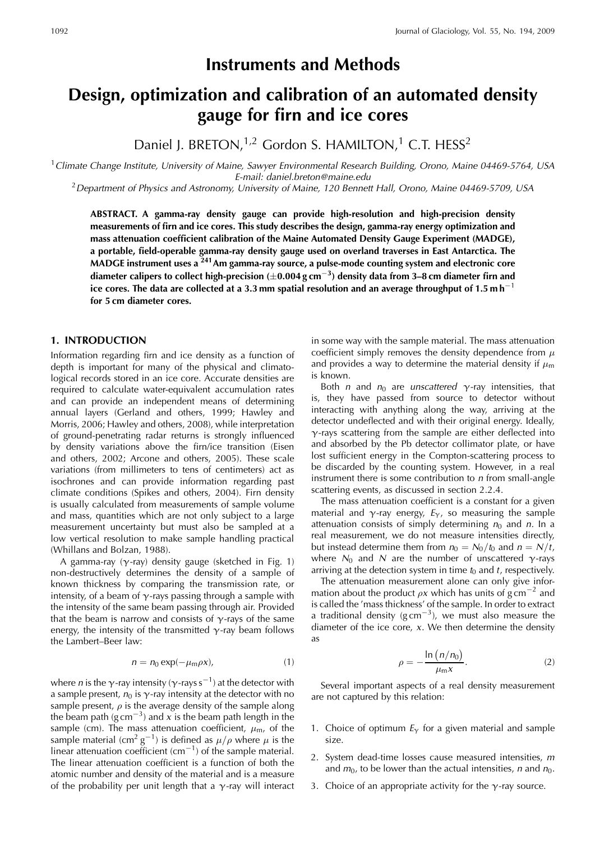# **Instruments and Methods**

# Design, optimization and calibration of an automated density gauge for firn and ice cores

Daniel J. BRETON,<sup>1,2</sup> Gordon S. HAMILTON,<sup>1</sup> C.T. HESS<sup>2</sup>

<sup>1</sup> Climate Change Institute, University of Maine, Sawyer Environmental Research Building, Orono, Maine 04469-5764, USA E-mail: daniel.breton@maine.edu

 $^2$ Department of Physics and Astronomy, University of Maine, 120 Bennett Hall, Orono, Maine 04469-5709, USA

ABSTRACT. A gamma-ray density gauge can provide high-resolution and high-precision density measurements of firn and ice cores. This study describes the design, gamma-ray energy optimization and mass attenuation coefficient calibration of the Maine Automated Density Gauge Experiment (MADGE), a portable, field-operable gamma-ray density gauge used on overland traverses in East Antarctica. The MADGE instrument uses a <sup>241</sup>Am gamma-ray source, a pulse-mode counting system and electronic core diameter calipers to collect high-precision  $(\pm 0.004 \text{ g cm}^{-3})$  density data from 3-8 cm diameter firn and ice cores. The data are collected at a 3.3 mm spatial resolution and an average throughput of 1.5 m h<sup>-1</sup> for 5 cm diameter cores.

## **1. INTRODUCTION**

Information regarding firn and ice density as a function of depth is important for many of the physical and climatological records stored in an ice core. Accurate densities are required to calculate water-equivalent accumulation rates and can provide an independent means of determining annual layers (Gerland and others, 1999; Hawley and Morris, 2006; Hawley and others, 2008), while interpretation of ground-penetrating radar returns is strongly influenced by density variations above the firn/ice transition (Eisen and others, 2002; Arcone and others, 2005). These scale variations (from millimeters to tens of centimeters) act as isochrones and can provide information regarding past climate conditions (Spikes and others, 2004). Firn density is usually calculated from measurements of sample volume and mass, quantities which are not only subject to a large measurement uncertainty but must also be sampled at a low vertical resolution to make sample handling practical (Whillans and Bolzan, 1988).

A gamma-ray  $(\gamma$ -ray) density gauge (sketched in Fig. 1) non-destructively determines the density of a sample of known thickness by comparing the transmission rate, or intensity, of a beam of  $\gamma$ -rays passing through a sample with the intensity of the same beam passing through air. Provided that the beam is narrow and consists of  $\gamma$ -rays of the same energy, the intensity of the transmitted  $\gamma$ -ray beam follows the Lambert-Beer law:

$$
n = n_0 \exp(-\mu_m \rho x), \tag{1}
$$

where *n* is the  $\gamma$ -ray intensity ( $\gamma$ -rays s<sup>-1</sup>) at the detector with a sample present,  $n_0$  is  $\gamma$ -ray intensity at the detector with no sample present,  $\rho$  is the average density of the sample along the beam path ( $g \text{ cm}^{-3}$ ) and x is the beam path length in the sample (cm). The mass attenuation coefficient,  $\mu_{m}$ , of the sample material (cm<sup>2</sup> g<sup>-1</sup>) is defined as  $\mu/\rho$  where  $\mu$  is the linear attenuation coefficient (cm<sup>-1</sup>) of the sample material. The linear attenuation coefficient is a function of both the atomic number and density of the material and is a measure of the probability per unit length that a  $\gamma$ -ray will interact

in some way with the sample material. The mass attenuation coefficient simply removes the density dependence from  $\mu$ and provides a way to determine the material density if  $\mu_{\rm m}$ is known.

Both *n* and  $n_0$  are *unscattered*  $\gamma$ -ray intensities, that is, they have passed from source to detector without interacting with anything along the way, arriving at the detector undeflected and with their original energy. Ideally,  $\gamma$ -rays scattering from the sample are either deflected into and absorbed by the Pb detector collimator plate, or have lost sufficient energy in the Compton-scattering process to be discarded by the counting system. However, in a real instrument there is some contribution to  $n$  from small-angle scattering events, as discussed in section 2.2.4.

The mass attenuation coefficient is a constant for a given material and  $\gamma$ -ray energy,  $E_{\gamma}$ , so measuring the sample attenuation consists of simply determining  $n_0$  and n. In a real measurement, we do not measure intensities directly, but instead determine them from  $n_0 = N_0/t_0$  and  $n = N/t$ , where  $N_0$  and N are the number of unscattered  $\gamma$ -rays arriving at the detection system in time  $t_0$  and  $t$ , respectively.

The attenuation measurement alone can only give information about the product  $\rho x$  which has units of  $g \text{ cm}^{-2}$  and is called the 'mass thickness' of the sample. In order to extract a traditional density ( $g \text{ cm}^{-3}$ ), we must also measure the diameter of the ice core,  $x$ . We then determine the density as

$$
\rho = -\frac{\ln (n/n_0)}{\mu_{\rm m} x}.
$$
 (2)

Several important aspects of a real density measurement are not captured by this relation:

- 1. Choice of optimum  $E_{\gamma}$  for a given material and sample size.
- 2. System dead-time losses cause measured intensities, m and  $m_0$ , to be lower than the actual intensities, *n* and  $n_0$ .
- 3. Choice of an appropriate activity for the  $\gamma$ -ray source.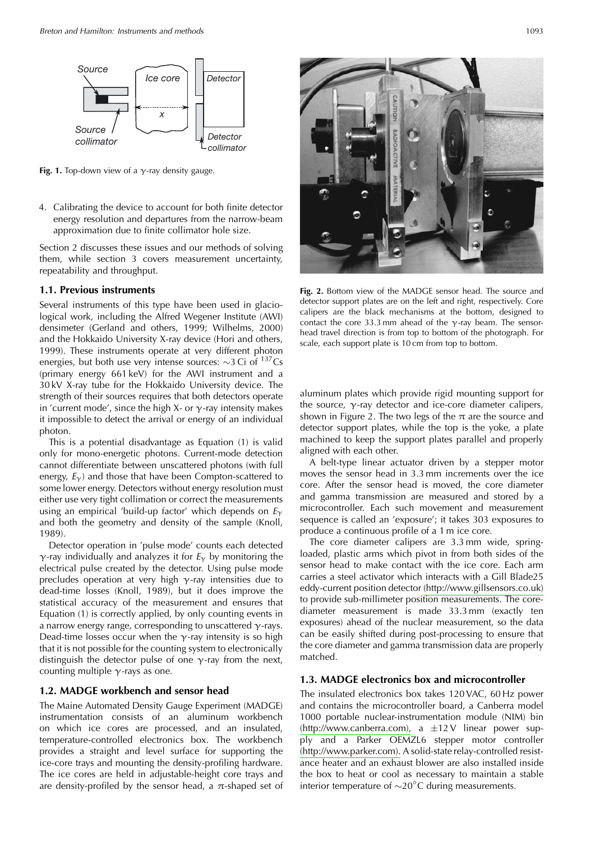

Fig. 1. Top-down view of a  $\gamma$ -ray density gauge.

4. Calibrating the device to account for both finite detector energy resolution and departures from the narrow-beam approximation due to finite collimator hole size.

Section 2 discusses these issues and our methods of solving them, while section 3 covers measurement uncertainty, repeatability and throughput.

#### 1.1. Previous instruments

Several instruments of this type have been used in glaciological work, including the Alfred Wegener Institute (AWI) densimeter (Gerland and others, 1999; Wilhelms, 2000) and the Hokkaido University X-ray device (Hori and others, 1999). These instruments operate at very different photon energies, but both use very intense sources:  $\sim$ 3 Ci of  $^{137}Cs$ (primary energy 661 keV) for the AWI instrument and a 30 kV X-ray tube for the Hokkaido University device. The strength of their sources requires that both detectors operate in 'current mode', since the high X- or  $\gamma$ -ray intensity makes it impossible to detect the arrival or energy of an individual photon.

This is a potential disadvantage as Equation (1) is valid only for mono-energetic photons. Current-mode detection cannot differentiate between unscattered photons (with full energy,  $E_y$ ) and those that have been Compton-scattered to some lower energy. Detectors without energy resolution must either use very tight collimation or correct the measurements using an empirical 'build-up factor' which depends on  $E_{\gamma}$ and both the geometry and density of the sample (Knoll, 1989).

Detector operation in 'pulse mode' counts each detected  $\gamma$ -ray individually and analyzes it for  $E_{\gamma}$  by monitoring the electrical pulse created by the detector. Using pulse mode precludes operation at very high  $\gamma$ -ray intensities due to dead-time losses (Knoll, 1989), but it does improve the statistical accuracy of the measurement and ensures that Equation (1) is correctly applied, by only counting events in a narrow energy range, corresponding to unscattered  $\gamma$ -rays. Dead-time losses occur when the  $\gamma$ -ray intensity is so high that it is not possible for the counting system to electronically distinguish the detector pulse of one  $\gamma$ -ray from the next, counting multiple  $\gamma$ -rays as one.

## 1.2. MADGE workbench and sensor head

The Maine Automated Density Gauge Experiment (MADGE) instrumentation consists of an aluminum workbench on which ice cores are processed, and an insulated, temperature-controlled electronics box. The workbench provides a straight and level surface for supporting the ice-core trays and mounting the density-profiling hardware. The ice cores are held in adjustable-height core trays and are density-profiled by the sensor head, a  $\pi$ -shaped set of



Fig. 2. Bottom view of the MADGE sensor head. The source and detector support plates are on the left and right, respectively. Core calipers are the black mechanisms at the bottom, designed to contact the core 33.3 mm ahead of the  $\gamma$ -ray beam. The sensorhead travel direction is from top to bottom of the photograph. For scale, each support plate is 10 cm from top to bottom.

aluminum plates which provide rigid mounting support for the source,  $\gamma$ -ray detector and ice-core diameter calipers, shown in Figure 2. The two legs of the  $\pi$  are the source and detector support plates, while the top is the yoke, a plate machined to keep the support plates parallel and properly aligned with each other.

A belt-type linear actuator driven by a stepper motor moves the sensor head in 3.3 mm increments over the ice core. After the sensor head is moved, the core diameter and gamma transmission are measured and stored by a microcontroller. Each such movement and measurement sequence is called an 'exposure'; it takes 303 exposures to produce a continuous profile of a 1 m ice core.

The core diameter calipers are 3.3 mm wide, springloaded, plastic arms which pivot in from both sides of the sensor head to make contact with the ice core. Each arm carries a steel activator which interacts with a Gill Blade25 eddy-current position detector (http://www.gillsensors.co.uk) to provide sub-millimeter position measurements. The corediameter measurement is made 33.3 mm (exactly ten exposures) ahead of the nuclear measurement, so the data can be easily shifted during post-processing to ensure that the core diameter and gamma transmission data are properly matched.

# 1.3. MADGE electronics box and microcontroller

The insulated electronics box takes 120 VAC, 60 Hz power and contains the microcontroller board, a Canberra model 1000 portable nuclear-instrumentation module (NIM) bin (http://www.canberra.com), a  $\pm 12 \text{ V}$  linear power supply and a Parker OEMZL6 stepper motor controller (http://www.parker.com). A solid-state relay-controlled resistance heater and an exhaust blower are also installed inside the box to heat or cool as necessary to maintain a stable interior temperature of  $\sim$ 20 $^{\circ}$ C during measurements.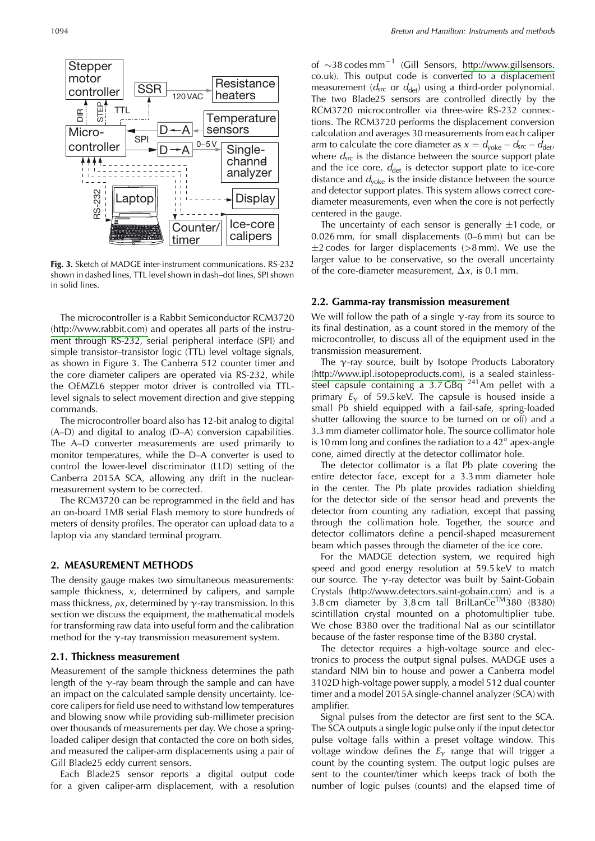1094



Fig. 3. Sketch of MADGE inter-instrument communications. RS-232 shown in dashed lines, TTL level shown in dash-dot lines, SPI shown in solid lines.

The microcontroller is a Rabbit Semiconductor RCM3720 (http://www.rabbit.com) and operates all parts of the instrument through RS-232, serial peripheral interface (SPI) and simple transistor-transistor logic (TTL) level voltage signals, as shown in Figure 3. The Canberra 512 counter timer and the core diameter calipers are operated via RS-232, while the OEMZL6 stepper motor driver is controlled via TTLlevel signals to select movement direction and give stepping commands.

The microcontroller board also has 12-bit analog to digital (A-D) and digital to analog (D-A) conversion capabilities. The A-D converter measurements are used primarily to monitor temperatures, while the D–A converter is used to control the lower-level discriminator (LLD) setting of the Canberra 2015A SCA, allowing any drift in the nuclearmeasurement system to be corrected.

The RCM3720 can be reprogrammed in the field and has an on-board 1MB serial Flash memory to store hundreds of meters of density profiles. The operator can upload data to a laptop via any standard terminal program.

#### 2. MEASUREMENT METHODS

The density gauge makes two simultaneous measurements: sample thickness,  $x$ , determined by calipers, and sample mass thickness,  $\rho x$ , determined by  $\gamma$ -ray transmission. In this section we discuss the equipment, the mathematical models for transforming raw data into useful form and the calibration method for the  $\gamma$ -ray transmission measurement system.

#### 2.1. Thickness measurement

Measurement of the sample thickness determines the path length of the  $\gamma$ -ray beam through the sample and can have an impact on the calculated sample density uncertainty. Icecore calipers for field use need to withstand low temperatures and blowing snow while providing sub-millimeter precision over thousands of measurements per day. We chose a springloaded caliper design that contacted the core on both sides, and measured the caliper-arm displacements using a pair of Gill Blade25 eddy current sensors.

Each Blade25 sensor reports a digital output code for a given caliper-arm displacement, with a resolution

of  $\sim$ 38 codes mm<sup>-1</sup> (Gill Sensors, http://www.gillsensors. co.uk). This output code is converted to a displacement measurement ( $d_{src}$  or  $d_{det}$ ) using a third-order polynomial. The two Blade25 sensors are controlled directly by the RCM3720 microcontroller via three-wire RS-232 connections. The RCM3720 performs the displacement conversion calculation and averages 30 measurements from each caliper arm to calculate the core diameter as  $x = d_{\text{yoke}} - d_{\text{src}} - d_{\text{det}}$ , where  $d_{src}$  is the distance between the source support plate and the ice core,  $d_{\text{det}}$  is detector support plate to ice-core distance and  $d_{\text{voke}}$  is the inside distance between the source and detector support plates. This system allows correct corediameter measurements, even when the core is not perfectly centered in the gauge.

The uncertainty of each sensor is generally  $\pm 1$  code, or 0.026 mm, for small displacements (0-6 mm) but can be  $\pm$ 2 codes for larger displacements ( $>$ 8 mm). We use the larger value to be conservative, so the overall uncertainty of the core-diameter measurement,  $\Delta x$ , is 0.1 mm.

#### 2.2. Gamma-ray transmission measurement

We will follow the path of a single  $\gamma$ -ray from its source to its final destination, as a count stored in the memory of the microcontroller, to discuss all of the equipment used in the transmission measurement.

The  $\gamma$ -ray source, built by Isotope Products Laboratory (http://www.ipl.isotopeproducts.com), is a sealed stainlesssteel capsule containing a  $3.7$  GBq  $^{241}$ Am pellet with a primary  $E_{\gamma}$  of 59.5 keV. The capsule is housed inside a small Pb shield equipped with a fail-safe, spring-loaded shutter (allowing the source to be turned on or off) and a 3.3 mm diameter collimator hole. The source collimator hole is 10 mm long and confines the radiation to a  $42^{\circ}$  apex-angle cone, aimed directly at the detector collimator hole.

The detector collimator is a flat Pb plate covering the entire detector face, except for a 3.3 mm diameter hole in the center. The Pb plate provides radiation shielding for the detector side of the sensor head and prevents the detector from counting any radiation, except that passing through the collimation hole. Together, the source and detector collimators define a pencil-shaped measurement beam which passes through the diameter of the ice core.

For the MADGE detection system, we required high speed and good energy resolution at 59.5 keV to match our source. The  $\gamma$ -ray detector was built by Saint-Gobain Crystals (http://www.detectors.saint-gobain.com) and is a 3.8 cm diameter by 3.8 cm tall BrilLanCe™380 (B380) scintillation crystal mounted on a photomultiplier tube. We chose B380 over the traditional NaI as our scintillator because of the faster response time of the B380 crystal.

The detector requires a high-voltage source and electronics to process the output signal pulses. MADGE uses a standard NIM bin to house and power a Canberra model 3102D high-voltage power supply, a model 512 dual counter timer and a model 2015A single-channel analyzer (SCA) with amplifier.

Signal pulses from the detector are first sent to the SCA. The SCA outputs a single logic pulse only if the input detector pulse voltage falls within a preset voltage window. This voltage window defines the  $E_{\gamma}$  range that will trigger a count by the counting system. The output logic pulses are sent to the counter/timer which keeps track of both the number of logic pulses (counts) and the elapsed time of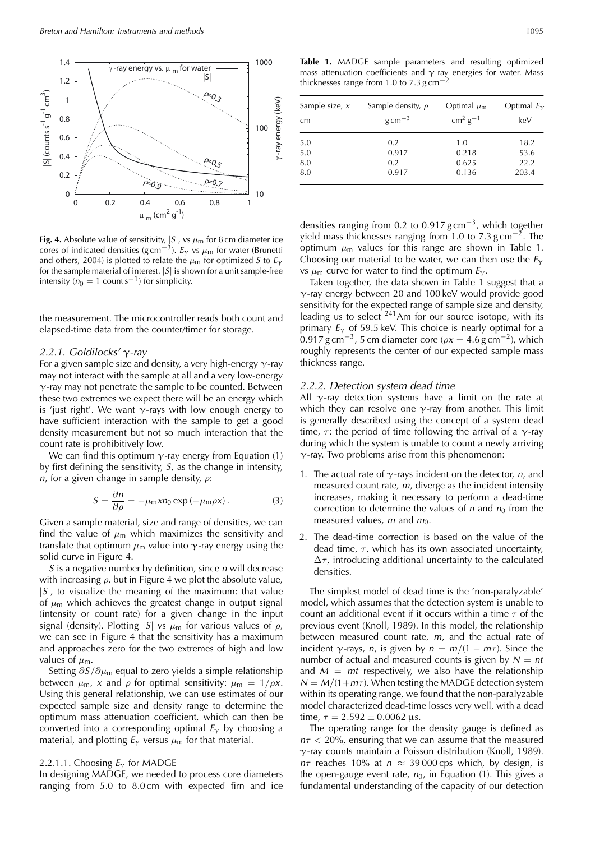

Fig. 4. Absolute value of sensitivity,  $|S|$ , vs  $\mu$ <sub>m</sub> for 8 cm diameter ice cores of indicated densities (g cm<sup>-3</sup>).  $E_Y$  vs  $\mu$ m for water (Brunetti and others, 2004) is plotted to relate the  $\mu_{m}$  for optimized S to  $E_{\gamma}$ for the sample material of interest.  $|S|$  is shown for a unit sample-free intensity ( $n_0 = 1$  counts<sup>-1</sup>) for simplicity.

the measurement. The microcontroller reads both count and elapsed-time data from the counter/timer for storage.

## 2.2.1. Goldilocks'  $\gamma$ -ray

For a given sample size and density, a very high-energy  $\gamma$ -ray may not interact with the sample at all and a very low-energy  $\gamma$ -ray may not penetrate the sample to be counted. Between these two extremes we expect there will be an energy which is 'just right'. We want  $\gamma$ -rays with low enough energy to have sufficient interaction with the sample to get a good density measurement but not so much interaction that the count rate is prohibitively low.

We can find this optimum  $\gamma$ -ray energy from Equation (1) by first defining the sensitivity,  $S$ , as the change in intensity,  $n$ , for a given change in sample density,  $\rho$ :

$$
S = \frac{\partial n}{\partial \rho} = -\mu_{\rm m} x n_0 \exp(-\mu_{\rm m} \rho x). \tag{3}
$$

Given a sample material, size and range of densities, we can find the value of  $\mu_m$  which maximizes the sensitivity and translate that optimum  $\mu_m$  value into  $\gamma$ -ray energy using the solid curve in Figure 4.

S is a negative number by definition, since *n* will decrease with increasing  $\rho$ , but in Figure 4 we plot the absolute value,  $|S|$ , to visualize the meaning of the maximum: that value of  $\mu_{\rm m}$  which achieves the greatest change in output signal (intensity or count rate) for a given change in the input signal (density). Plotting  $|S|$  vs  $\mu_m$  for various values of  $\rho$ , we can see in Figure 4 that the sensitivity has a maximum and approaches zero for the two extremes of high and low values of  $\mu_{m}$ .

Setting  $\partial S/\partial \mu_m$  equal to zero yields a simple relationship between  $\mu_{m}$ , x and  $\rho$  for optimal sensitivity:  $\mu_{m} = 1/\rho x$ . Using this general relationship, we can use estimates of our expected sample size and density range to determine the optimum mass attenuation coefficient, which can then be converted into a corresponding optimal  $E_{\gamma}$  by choosing a material, and plotting  $E_{\gamma}$  versus  $\mu_{\rm m}$  for that material.

#### 2.2.1.1. Choosing  $E_{\gamma}$  for MADGE

In designing MADGE, we needed to process core diameters ranging from 5.0 to 8.0 cm with expected firn and ice

Table 1. MADGE sample parameters and resulting optimized mass attenuation coefficients and  $\gamma$ -ray energies for water. Mass thicknesses range from 1.0 to 7.3 g cm<sup>-</sup>

| Sample size, x | Sample density, $\rho$ | Optimal $\mu_{m}$ | Optimal $E_v$ |  |
|----------------|------------------------|-------------------|---------------|--|
| cm             | $g \text{ cm}^{-3}$    | $cm2 g-1$         | keV           |  |
| 5.0            | 0.2                    | 1.0               | 18.2          |  |
| 5.0            | 0.917                  | 0.218             | 53.6          |  |
| 8.0            | 0.2                    | 0.625             | 22.2          |  |
| 8.0            | 0.917                  | 0.136             | 203.4         |  |

densities ranging from 0.2 to 0.917  $g \text{ cm}^{-3}$ , which together yield mass thicknesses ranging from 1.0 to 7.3 g cm<sup>-2</sup>. The optimum  $\mu_{\rm m}$  values for this range are shown in Table 1. Choosing our material to be water, we can then use the  $E_{\gamma}$ vs  $\mu_{\rm m}$  curve for water to find the optimum  $E_{\gamma}$ .

Taken together, the data shown in Table 1 suggest that a  $\gamma$ -ray energy between 20 and 100 keV would provide good sensitivity for the expected range of sample size and density, leading us to select  $241$  Am for our source isotope, with its primary  $E_Y$  of 59.5 keV. This choice is nearly optimal for a 0.917 g cm<sup>-3</sup>, 5 cm diameter core ( $\rho x = 4.6$  g cm<sup>-2</sup>), which roughly represents the center of our expected sample mass thickness range.

#### 2.2.2. Detection system dead time

All  $\gamma$ -ray detection systems have a limit on the rate at which they can resolve one  $\gamma$ -ray from another. This limit is generally described using the concept of a system dead time,  $\tau$ : the period of time following the arrival of a  $\gamma$ -ray during which the system is unable to count a newly arriving  $\gamma$ -ray. Two problems arise from this phenomenon:

- 1. The actual rate of  $\gamma$ -rays incident on the detector, *n*, and measured count rate,  $m$ , diverge as the incident intensity increases, making it necessary to perform a dead-time correction to determine the values of  $n$  and  $n_0$  from the measured values, m and  $m_0$ .
- 2. The dead-time correction is based on the value of the dead time,  $\tau$ , which has its own associated uncertainty,  $\Delta\tau$ , introducing additional uncertainty to the calculated densities.

The simplest model of dead time is the 'non-paralyzable' model, which assumes that the detection system is unable to count an additional event if it occurs within a time  $\tau$  of the previous event (Knoll, 1989). In this model, the relationship between measured count rate,  $m$ , and the actual rate of incident  $\gamma$ -rays, *n*, is given by  $n = m/(1 - m\tau)$ . Since the number of actual and measured counts is given by  $N = nt$ and  $M = mt$  respectively, we also have the relationship  $N = M/(1 + m\tau)$ . When testing the MADGE detection system within its operating range, we found that the non-paralyzable model characterized dead-time losses very well, with a dead time,  $\tau = 2.592 \pm 0.0062 \,\mu s$ .

The operating range for the density gauge is defined as  $n\tau$  < 20%, ensuring that we can assume that the measured  $\gamma$ -ray counts maintain a Poisson distribution (Knoll, 1989).  $n\tau$  reaches 10% at  $n \approx 39000$  cps which, by design, is the open-gauge event rate,  $n_0$ , in Equation (1). This gives a fundamental understanding of the capacity of our detection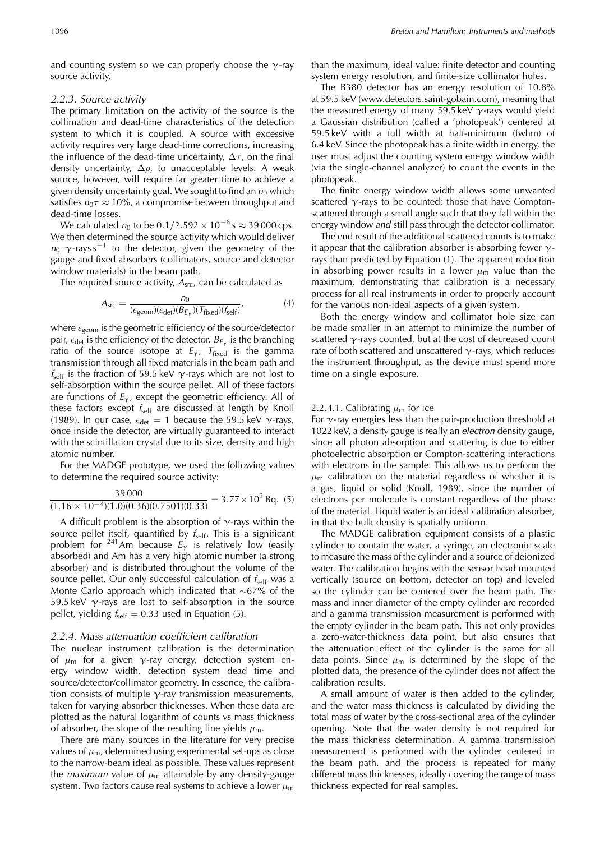and counting system so we can properly choose the  $\gamma$ -ray source activity.

#### 2.2.3. Source activity

The primary limitation on the activity of the source is the collimation and dead-time characteristics of the detection system to which it is coupled. A source with excessive activity requires very large dead-time corrections, increasing the influence of the dead-time uncertainty,  $\Delta\tau$ , on the final density uncertainty,  $\Delta \rho$ , to unacceptable levels. A weak source, however, will require far greater time to achieve a given density uncertainty goal. We sought to find an  $n_0$  which satisfies  $n_0 \tau \approx 10\%$ , a compromise between throughput and dead-time losses.

We calculated  $n_0$  to be 0.1/2.592  $\times$  10<sup>-6</sup> s  $\approx$  39 000 cps. We then determined the source activity which would deliver  $n_0$   $\gamma$ -rays s<sup>-1</sup> to the detector, given the geometry of the gauge and fixed absorbers (collimators, source and detector window materials) in the beam path.

The required source activity,  $A<sub>src</sub>$ , can be calculated as

$$
A_{\rm src} = \frac{n_0}{(\epsilon_{\rm geom})(\epsilon_{\rm det})(B_{E_{\gamma}})(T_{\rm fixed})(f_{\rm self})},\tag{4}
$$

where  $\epsilon_{\text{geom}}$  is the geometric efficiency of the source/detector pair,  $\epsilon_{\text{det}}$  is the efficiency of the detector,  $B_{E_{\gamma}}$  is the branching ratio of the source isotope at  $E_{\gamma}$ ,  $T_{\text{fixed}}$  is the gamma transmission through all fixed materials in the beam path and  $f_{\text{self}}$  is the fraction of 59.5 keV  $\gamma$ -rays which are not lost to self-absorption within the source pellet. All of these factors are functions of  $E<sub>Y</sub>$ , except the geometric efficiency. All of these factors except  $f_{\text{self}}$  are discussed at length by Knoll (1989). In our case,  $\epsilon_{\text{det}} = 1$  because the 59.5 keV  $\gamma$ -rays, once inside the detector, are virtually guaranteed to interact with the scintillation crystal due to its size, density and high atomic number.

For the MADGE prototype, we used the following values to determine the required source activity:

$$
\frac{39\,000}{(1.16 \times 10^{-4})(1.0)(0.36)(0.7501)(0.33)} = 3.77 \times 10^9 \,\text{Bq. (5)}
$$

A difficult problem is the absorption of  $\gamma$ -rays within the source pellet itself, quantified by  $f_{\text{self}}$ . This is a significant problem for <sup>241</sup>Am because  $E_Y$  is relatively low (easily absorbed) and Am has a very high atomic number (a strong absorber) and is distributed throughout the volume of the source pellet. Our only successful calculation of  $f_{self}$  was a Monte Carlo approach which indicated that  $\sim$  67% of the 59.5 keV  $\gamma$ -rays are lost to self-absorption in the source pellet, yielding  $f_{self} = 0.33$  used in Equation (5).

#### 2.2.4. Mass attenuation coefficient calibration

The nuclear instrument calibration is the determination of  $\mu_m$  for a given  $\gamma$ -ray energy, detection system energy window width, detection system dead time and source/detector/collimator geometry. In essence, the calibration consists of multiple  $\gamma$ -ray transmission measurements, taken for varying absorber thicknesses. When these data are plotted as the natural logarithm of counts vs mass thickness of absorber, the slope of the resulting line yields  $\mu_{\rm m}$ .

There are many sources in the literature for very precise values of  $\mu_m$ , determined using experimental set-ups as close to the narrow-beam ideal as possible. These values represent the *maximum* value of  $\mu$ <sub>m</sub> attainable by any density-gauge system. Two factors cause real systems to achieve a lower  $\mu_{\rm m}$ 

than the maximum, ideal value: finite detector and counting system energy resolution, and finite-size collimator holes.

The B380 detector has an energy resolution of 10.8% at 59.5 keV (www.detectors.saint-gobain.com), meaning that the measured energy of many 59.5 keV  $\gamma$ -rays would yield a Gaussian distribution (called a 'photopeak') centered at 59.5 keV with a full width at half-minimum (fwhm) of 6.4 keV. Since the photopeak has a finite width in energy, the user must adjust the counting system energy window width (via the single-channel analyzer) to count the events in the photopeak.

The finite energy window width allows some unwanted scattered  $\gamma$ -rays to be counted: those that have Comptonscattered through a small angle such that they fall within the energy window and still pass through the detector collimator.

The end result of the additional scattered counts is to make it appear that the calibration absorber is absorbing fewer  $\gamma$ rays than predicted by Equation (1). The apparent reduction in absorbing power results in a lower  $\mu_m$  value than the maximum, demonstrating that calibration is a necessary process for all real instruments in order to properly account for the various non-ideal aspects of a given system.

Both the energy window and collimator hole size can be made smaller in an attempt to minimize the number of scattered  $\gamma$ -rays counted, but at the cost of decreased count rate of both scattered and unscattered  $\gamma$ -rays, which reduces the instrument throughput, as the device must spend more time on a single exposure.

#### 2.2.4.1. Calibrating  $\mu_{\rm m}$  for ice

For  $\gamma$ -ray energies less than the pair-production threshold at 1022 keV, a density gauge is really an electron density gauge, since all photon absorption and scattering is due to either photoelectric absorption or Compton-scattering interactions with electrons in the sample. This allows us to perform the  $\mu_{\rm m}$  calibration on the material regardless of whether it is a gas, liquid or solid (Knoll, 1989), since the number of electrons per molecule is constant regardless of the phase of the material. Liquid water is an ideal calibration absorber, in that the bulk density is spatially uniform.

The MADGE calibration equipment consists of a plastic cylinder to contain the water, a syringe, an electronic scale to measure the mass of the cylinder and a source of deionized water. The calibration begins with the sensor head mounted vertically (source on bottom, detector on top) and leveled so the cylinder can be centered over the beam path. The mass and inner diameter of the empty cylinder are recorded and a gamma transmission measurement is performed with the empty cylinder in the beam path. This not only provides a zero-water-thickness data point, but also ensures that the attenuation effect of the cylinder is the same for all data points. Since  $\mu_m$  is determined by the slope of the plotted data, the presence of the cylinder does not affect the calibration results.

A small amount of water is then added to the cylinder, and the water mass thickness is calculated by dividing the total mass of water by the cross-sectional area of the cylinder opening. Note that the water density is not required for the mass thickness determination. A gamma transmission measurement is performed with the cylinder centered in the beam path, and the process is repeated for many different mass thicknesses, ideally covering the range of mass thickness expected for real samples.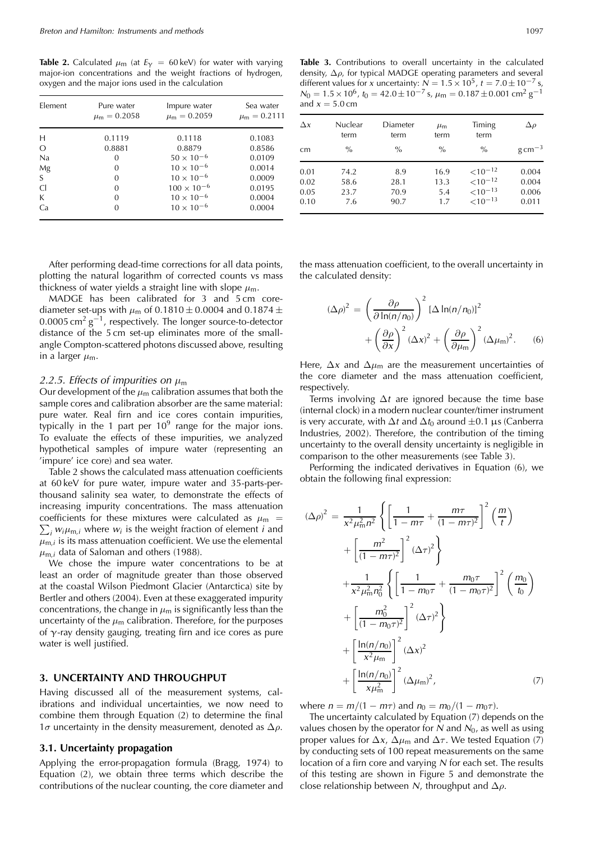**Table 2.** Calculated  $\mu$ <sub>m</sub> (at  $E_{\gamma} = 60 \,\text{keV}$ ) for water with varying major-ion concentrations and the weight fractions of hydrogen, oxygen and the major ions used in the calculation

| Element      | Pure water<br>$\mu_{\rm m} = 0.2058$ | Impure water<br>$\mu_{\rm m} = 0.2059$ | Sea water<br>$\mu_{\rm m} = 0.2111$ |
|--------------|--------------------------------------|----------------------------------------|-------------------------------------|
| Н            | 0.1119                               | 0.1118                                 | 0.1083                              |
| $\Omega$     | 0.8881                               | 0.8879                                 | 0.8586                              |
| <b>Na</b>    | 0                                    | $50 \times 10^{-6}$                    | 0.0109                              |
| Mg           | 0                                    | $10 \times 10^{-6}$                    | 0.0014                              |
| <sup>S</sup> | 0                                    | $10 \times 10^{-6}$                    | 0.0009                              |
| C.           | $\Omega$                             | $100 \times 10^{-6}$                   | 0.0195                              |
| К            | 0                                    | $10 \times 10^{-6}$                    | 0.0004                              |
| Ca           |                                      | $10 \times 10^{-6}$                    | 0.0004                              |

After performing dead-time corrections for all data points, plotting the natural logarithm of corrected counts vs mass thickness of water yields a straight line with slope  $\mu_{m}$ .

MADGE has been calibrated for 3 and 5 cm corediameter set-ups with  $\mu$ <sub>m</sub> of 0.1810  $\pm$  0.0004 and 0.1874  $\pm$  $0.0005$  cm<sup>2</sup> g<sup>-1</sup>, respectively. The longer source-to-detector distance of the 5 cm set-up eliminates more of the smallangle Compton-scattered photons discussed above, resulting in a larger  $\mu_{m}$ .

#### 2.2.5. Effects of impurities on  $\mu_{\rm m}$

Our development of the  $\mu_{\rm m}$  calibration assumes that both the sample cores and calibration absorber are the same material: pure water. Real firn and ice cores contain impurities, typically in the 1 part per  $10^9$  range for the major ions. To evaluate the effects of these impurities, we analyzed hypothetical samples of impure water (representing an 'impure' ice core) and sea water.

Table 2 shows the calculated mass attenuation coefficients at 60 keV for pure water, impure water and 35-parts-perthousand salinity sea water, to demonstrate the effects of increasing impurity concentrations. The mass attenuation coefficients for these mixtures were calculated as  $\mu_{\rm m}$  =  $\sum_i w_i \mu_{m,i}$  where  $w_i$  is the weight fraction of element *i* and  $\mu_{m,i}$  is its mass attenuation coefficient. We use the elemental  $\mu_{m,i}$  data of Saloman and others (1988).

We chose the impure water concentrations to be at least an order of magnitude greater than those observed at the coastal Wilson Piedmont Glacier (Antarctica) site by Bertler and others (2004). Even at these exaggerated impurity concentrations, the change in  $\mu_m$  is significantly less than the uncertainty of the  $\mu_m$  calibration. Therefore, for the purposes of  $\gamma$ -ray density gauging, treating firn and ice cores as pure water is well justified.

# 3. UNCERTAINTY AND THROUGHPUT

Having discussed all of the measurement systems, calibrations and individual uncertainties, we now need to combine them through Equation (2) to determine the final  $1\sigma$  uncertainty in the density measurement, denoted as  $\Delta \rho$ .

# 3.1. Uncertainty propagation

Applying the error-propagation formula (Bragg, 1974) to Equation (2), we obtain three terms which describe the contributions of the nuclear counting, the core diameter and

Table 3. Contributions to overall uncertainty in the calculated density,  $\Delta \rho$ , for typical MADGE operating parameters and several different values for x uncertainty:  $N = 1.5 \times 10^5$ ,  $t = 7.0 \pm 10^{-7}$  s,<br> $N_0 = 1.5 \times 10^6$ ,  $t_0 = 42.0 \pm 10^{-7}$  s,  $\mu_m = 0.187 \pm 0.001$  cm<sup>2</sup> g<sup>-1</sup> and  $x = 5.0$  cm

| $\Delta x$                   | Nuclear<br>term             | Diameter<br>term            | $\mu_{\rm m}$<br>term      | Timing<br>term                                                  | $\Delta \rho$                    |
|------------------------------|-----------------------------|-----------------------------|----------------------------|-----------------------------------------------------------------|----------------------------------|
| cm                           | $\frac{0}{0}$               | $\frac{0}{0}$               | $\frac{0}{0}$              | $\frac{0}{0}$                                                   | $g \text{ cm}^{-3}$              |
| 0.01<br>0.02<br>0.05<br>0.10 | 74.2<br>58.6<br>23.7<br>7.6 | 8.9<br>28.1<br>70.9<br>90.7 | 16.9<br>13.3<br>5.4<br>1.7 | ${<}10^{-12}$<br>$< 10^{-12}$<br>${<}10^{-13}$<br>${<}10^{-13}$ | 0.004<br>0.004<br>0.006<br>0.011 |

the mass attenuation coefficient, to the overall uncertainty in the calculated density:

$$
(\Delta \rho)^2 = \left(\frac{\partial \rho}{\partial \ln(n/n_0)}\right)^2 [\Delta \ln(n/n_0)]^2
$$

$$
+ \left(\frac{\partial \rho}{\partial x}\right)^2 (\Delta x)^2 + \left(\frac{\partial \rho}{\partial \mu_m}\right)^2 (\Delta \mu_m)^2. \qquad (6)
$$

Here,  $\Delta x$  and  $\Delta \mu_m$  are the measurement uncertainties of the core diameter and the mass attenuation coefficient, respectively.

Terms involving  $\Delta t$  are ignored because the time base (internal clock) in a modern nuclear counter/timer instrument is very accurate, with  $\Delta t$  and  $\Delta t_0$  around  $\pm 0.1$   $\mu$ s (Canberra Industries, 2002). Therefore, the contribution of the timing uncertainty to the overall density uncertainty is negligible in comparison to the other measurements (see Table 3).

Performing the indicated derivatives in Equation (6), we obtain the following final expression:

$$
(\Delta \rho)^2 = \frac{1}{x^2 \mu_m^2 n^2} \left\{ \left[ \frac{1}{1 - m\tau} + \frac{m\tau}{(1 - m\tau)^2} \right]^2 \left( \frac{m}{t} \right) \right\} + \left[ \frac{m^2}{(1 - m\tau)^2} \right]^2 (\Delta \tau)^2 + \frac{1}{x^2 \mu_m^2 n_0^2} \left\{ \left[ \frac{1}{1 - m_0 \tau} + \frac{m_0 \tau}{(1 - m_0 \tau)^2} \right]^2 \left( \frac{m_0}{t_0} \right) \right. + \left[ \frac{m_0^2}{(1 - m_0 \tau)^2} \right]^2 (\Delta \tau)^2 + \left[ \frac{\ln(n/n_0)}{x^2 \mu_m} \right]^2 (\Delta x)^2 + \left[ \frac{\ln(n/n_0)}{x \mu_m^2} \right]^2 (\Delta \mu_m)^2, \tag{7}
$$

where  $n = m/(1 - m\tau)$  and  $n_0 = m_0/(1 - m_0\tau)$ .

The uncertainty calculated by Equation (7) depends on the values chosen by the operator for  $N$  and  $N_0$ , as well as using proper values for  $\Delta x$ ,  $\Delta \mu_m$  and  $\Delta \tau$ . We tested Equation (7) by conducting sets of 100 repeat measurements on the same location of a firn core and varying  $N$  for each set. The results of this testing are shown in Figure 5 and demonstrate the close relationship between N, throughput and  $\Delta \rho$ .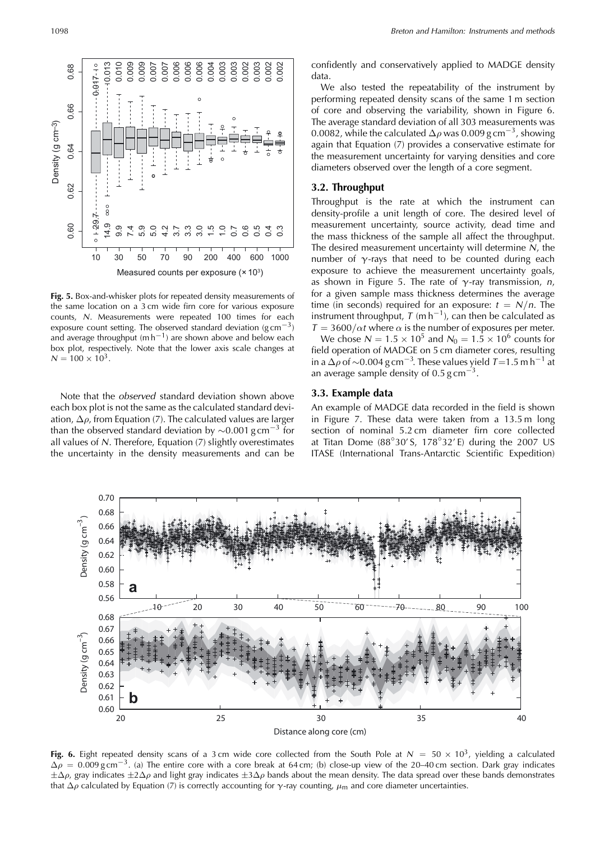

Fig. 5. Box-and-whisker plots for repeated density measurements of the same location on a 3 cm wide firn core for various exposure counts, N. Measurements were repeated 100 times for each exposure count setting. The observed standard deviation (g cm<sup> $-3$ </sup>) and average throughput ( $mh^{-1}$ ) are shown above and below each box plot, respectively. Note that the lower axis scale changes at  $N = 100 \times 10^3$ .

Note that the observed standard deviation shown above each box plot is not the same as the calculated standard deviation,  $\Delta \rho$ , from Equation (7). The calculated values are larger than the observed standard deviation by  $\sim 0.001$  g cm<sup>-3</sup> for all values of  $N$ . Therefore, Equation  $(7)$  slightly overestimates the uncertainty in the density measurements and can be

confidently and conservatively applied to MADGE density data.

We also tested the repeatability of the instrument by performing repeated density scans of the same 1 m section of core and observing the variability, shown in Figure 6. The average standard deviation of all 303 measurements was 0.0082, while the calculated  $\Delta \rho$  was 0.009 g cm<sup>-3</sup>, showing again that Equation (7) provides a conservative estimate for the measurement uncertainty for varying densities and core diameters observed over the length of a core segment.

#### 3.2. Throughput

Throughput is the rate at which the instrument can density-profile a unit length of core. The desired level of measurement uncertainty, source activity, dead time and the mass thickness of the sample all affect the throughput. The desired measurement uncertainty will determine  $N$ , the number of  $\gamma$ -rays that need to be counted during each exposure to achieve the measurement uncertainty goals, as shown in Figure 5. The rate of  $\gamma$ -ray transmission, n, for a given sample mass thickness determines the average time (in seconds) required for an exposure:  $t = N/n$ . The instrument throughput,  $T(mh^{-1})$ , can then be calculated as  $T = 3600/\alpha t$  where  $\alpha$  is the number of exposures per meter.

We chose  $N = 1.5 \times 10^5$  and  $N_0 = 1.5 \times 10^6$  counts for field operation of MADGE on 5 cm diameter cores, resulting in a  $\Delta \rho$  of  $\sim$ 0.004 g cm<sup>-3</sup>. These values yield *T*=1.5 m h<sup>-1</sup> at an average sample density of 0.5 g cm<sup>-3</sup>.

### 3.3. Example data

An example of MADGE data recorded in the field is shown in Figure 7. These data were taken from a 13.5 m long section of nominal 5.2 cm diameter firn core collected at Titan Dome  $(88^\circ30^\circ S, 178^\circ32^\prime E)$  during the 2007 US ITASE (International Trans-Antarctic Scientific Expedition)



Fig. 6. Eight repeated density scans of a 3 cm wide core collected from the South Pole at  $N = 50 \times 10^3$ , yielding a calculated  $\Delta \rho = 0.009$  g cm<sup>-3</sup>. (a) The entire core with a core break at 64 cm; (b) close-up view of the 20-40 cm section. Dark gray indicates  $\pm\Delta\rho$ , gray indicates  $\pm 2\Delta\rho$  and light gray indicates  $\pm 3\Delta\rho$  bands about the mean density. The data spread over these bands demonstrates that  $\Delta \rho$  calculated by Equation (7) is correctly accounting for  $\gamma$ -ray counting,  $\mu$ <sub>m</sub> and core diameter uncertainties.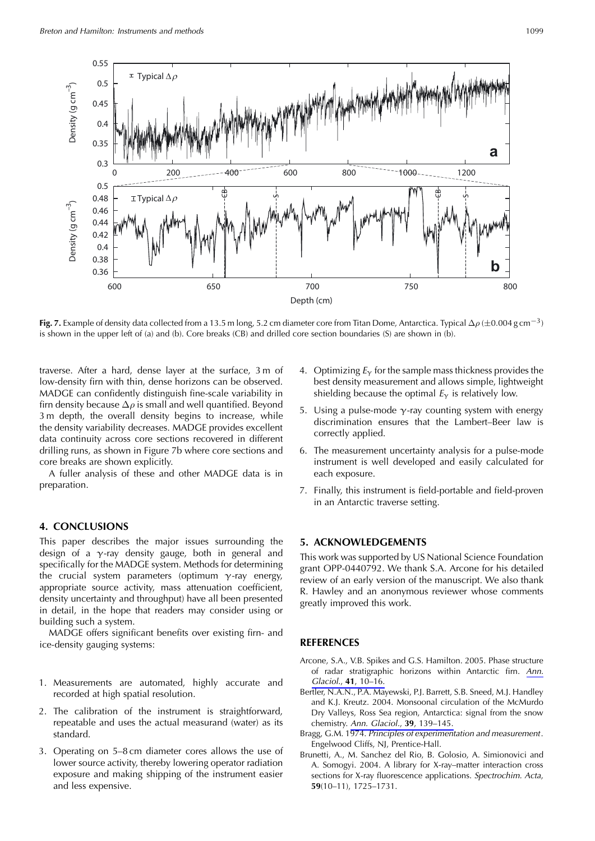

**Fig. 7.** Example of density data collected from a 13.5 m long, 5.2 cm diameter core from Titan Dome, Antarctica. Typical  $\Delta \rho$  ( $\pm$ 0.004 g cm<sup>-3</sup>) is shown in the upper left of (a) and (b). Core breaks (CB) and drilled core section boundaries (S) are shown in (b).

traverse. After a hard, dense layer at the surface, 3 m of low-density firn with thin, dense horizons can be observed. MADGE can confidently distinguish fine-scale variability in firn density because  $\Delta \rho$  is small and well quantified. Beyond 3 m depth, the overall density begins to increase, while the density variability decreases. MADGE provides excellent data continuity across core sections recovered in different drilling runs, as shown in Figure 7b where core sections and core breaks are shown explicitly.

A fuller analysis of these and other MADGE data is in preparation.

# **4. CONCLUSIONS**

This paper describes the major issues surrounding the design of a  $\gamma$ -ray density gauge, both in general and specifically for the MADGE system. Methods for determining the crucial system parameters (optimum  $\gamma$ -ray energy, appropriate source activity, mass attenuation coefficient, density uncertainty and throughput) have all been presented in detail, in the hope that readers may consider using or building such a system.

MADGE offers significant benefits over existing firn- and ice-density gauging systems:

- 1. Measurements are automated, highly accurate and recorded at high spatial resolution.
- 2. The calibration of the instrument is straightforward, repeatable and uses the actual measurand (water) as its standard.
- 3. Operating on 5–8 cm diameter cores allows the use of lower source activity, thereby lowering operator radiation exposure and making shipping of the instrument easier and less expensive.
- 4. Optimizing  $E<sub>\gamma</sub>$  for the sample mass thickness provides the best density measurement and allows simple, lightweight shielding because the optimal  $E_{\gamma}$  is relatively low.
- 5. Using a pulse-mode  $\gamma$ -ray counting system with energy discrimination ensures that the Lambert-Beer law is correctly applied.
- 6. The measurement uncertainty analysis for a pulse-mode instrument is well developed and easily calculated for each exposure.
- 7. Finally, this instrument is field-portable and field-proven in an Antarctic traverse setting.

# 5. ACKNOWLEDGEMENTS

This work was supported by US National Science Foundation grant OPP-0440792. We thank S.A. Arcone for his detailed review of an early version of the manuscript. We also thank R. Hawley and an anonymous reviewer whose comments greatly improved this work.

# **REFERENCES**

- Arcone, S.A., V.B. Spikes and G.S. Hamilton. 2005. Phase structure of radar stratigraphic horizons within Antarctic firn. Ann. Glaciol., 41, 10-16.
- Bertler, N.A.N., P.A. Mayewski, P.J. Barrett, S.B. Sneed, M.J. Handley and K.J. Kreutz. 2004. Monsoonal circulation of the McMurdo Dry Valleys, Ross Sea region, Antarctica: signal from the snow chemistry. Ann. Glaciol., 39, 139-145.
- Bragg, G.M. 1974. Principles of experimentation and measurement. Engelwood Cliffs, NJ, Prentice-Hall.
- Brunetti, A., M. Sanchez del Rio, B. Golosio, A. Simionovici and A. Somogyi. 2004. A library for X-ray-matter interaction cross sections for X-ray fluorescence applications. Spectrochim. Acta,  $59(10-11)$ ,  $1725-1731$ .